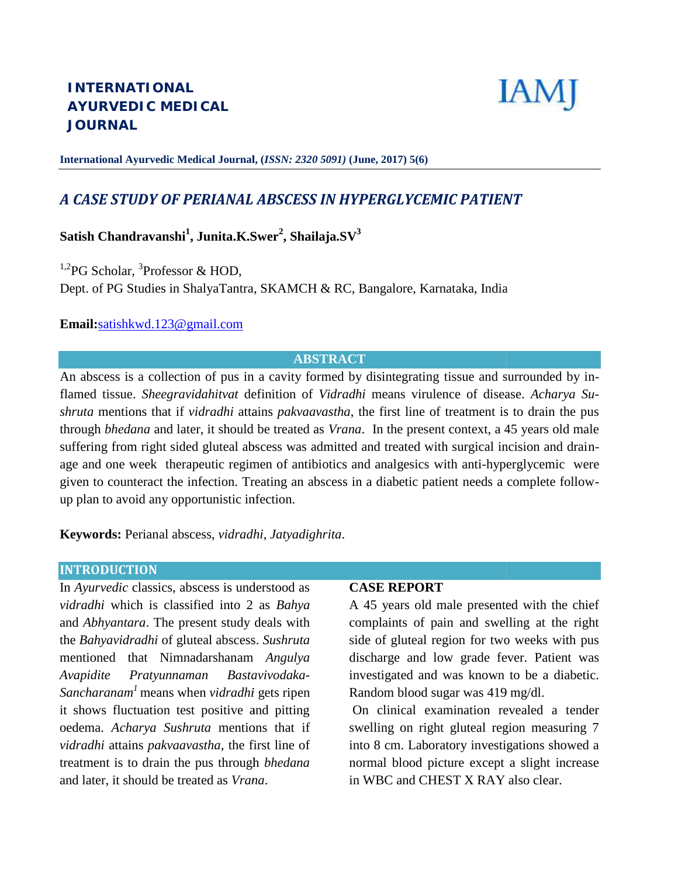

**International Ayurvedic Medical Journal, (***ISSN: 2320 5091)* **(June, 2017) 5(6)** *5091)*

# *A CASE STUDY OF PERIANAL ABSCESS IN HYPERGLYCEMIC PATIENT*

**Satish Chandravanshi<sup>1</sup> , Junita.K.Swer<sup>2</sup> , Shailaja.SV<sup>3</sup> Satish Chandravanshi**

 $1,2$ PG Scholar,  $3$ Professor & HOD, Dept. of PG Studies in ShalyaTantra, SKAMCH & RC, Bangalore, Karnataka, India

### **Email:**satishkwd.123@gmail.com

# **ABSTRACT**

An abscess is a collection of pus in a cavity formed by disintegrating tissue and surrounded by inflamed tissue. *Sheegravidahitvat* definition of *Vidradhi* means virulence of disease. *Acharya Sushruta* mentions that if *vidradhi* attains *pakvaavastha*, the first line of treatment is to drain the pus through *bhedana* and later, it should be treated as *Vrana*. In the present context, a 45 years old male suffering from right sided gluteal abscess was admitted and treated with surgical incision and drainage and one week therapeutic regimen of antibiotics and analgesics with anti-hyperglycemic were given to counteract the infection. Treating an abscess in a diabetic patient needs a complete follow- given up plan to avoid any opportunistic infection. PG Scholar, <sup>3</sup>Professor & HOD,<br>
ept. of PG Studies in ShalyaTantra, SKAMCH & RC, Bangalore, Karnataka, India<br>
mail:satishkwd.123@gmail.com<br> **ABSTRACT**<br>
n abscess is a collection of pus in a cavity formed by disintegrating

**Keywords:** Perianal abscess, *vidradhi*, *Jatyadighrita*.

#### **INTRODUCTION**

In *Ayurvedic* classics, abscess is understood as *vidradhi* which is classified into 2 as *Bahya* A and *Abhyantara*. The present study deals with co the *Bahyavidradhi* of gluteal abscess. *Sushruta* mentioned that Nimnadarshanam *Angulya* mentioned that *Avapidite Pratyunnaman Bastavivodaka-Sancharanam <sup>1</sup>* means when *vidradhi* gets ripen *Sancharanam<sup>1</sup>* it shows fluctuation test positive and pitting oedema. *Acharya Sushruta* mentions that if mentions *vidradhi* attains *pakvaavastha*, the first line of treatment is to drain the pus through *bhedana* and later, it should be treated as *Vrana*. abscess is understood as<br>
assified into 2 as *Bahya* A 45 years old male presented with the chief<br>
present study deals with complaints of pain and swelling at the right<br>
gluteal abscess. *Sushruta* side of gluteal region f

#### **CASE REPORT**

A 45 years old male presented with the chief complaints of pain and swelling at the right side of gluteal region for two weeks with pus discharge and low grade fever. Patient was investigated and was known to be a diabetic. Random blood sugar was 419 mg/dl. low grade fever. P<br>d was known to be<br>sugar was 419 mg/dl of pain and swelling at the right<br>eal region for two weeks with pu<br>nd low grade fever. Patient wa<br>and was known to be a diabetic<br>od sugar was 419 mg/dl.<br>1 examination revealed a tende<br>right gluteal region measuring<br>aborato

On clinical examination revealed a tender swelling on right gluteal region measuring 7 into 8 cm. Laboratory investigations showed a normal blood picture except a slight increase in WBC and CHEST X RAY also clear.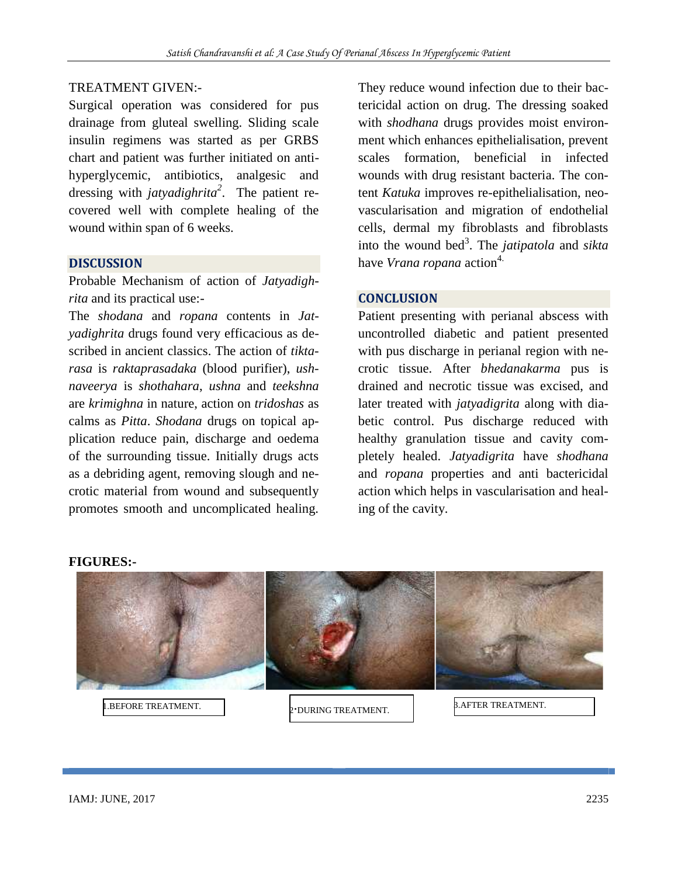### TREATMENT GIVEN:-

Surgical operation was considered for pus drainage from gluteal swelling. Sliding scale insulin regimens was started as per GRBS chart and patient was further initiated on anti hyperglycemic, antibiotics, analgesic and dressing with *jatyadighrita<sup>2</sup>* . The patient recovered well with complete healing of the wound within span of 6 weeks.

#### **DISCUSSION**

Probable Mechanism of action of *Jatyadighrita* and its practical use:-

The *shodana* and *ropana* contents in *Jatyadighrita* drugs found very efficacious as described in ancient classics. The action of *tiktarasa* is *raktaprasadaka* (blood purifier), *ushnaveerya* is *shothahara*, *ushna* and *teekshna* are *krimighna* in nature, action on *tridoshas* as calms as *Pitta*. *Shodana* drugs on topical application reduce pain, discharge and oedema of the surrounding tissue. Initially drugs acts as a debriding agent, removing slough and necrotic material from wound and subsequently promotes smooth and uncomplicated healing.

They reduce wound infection due to their bactericidal action on drug. The dressing soaked with *shodhana* drugs provides moist environment which enhances epithelialisation, prevent scales formation, beneficial in infected wounds with drug resistant bacteria. The content *Katuka* improves re-epithelialisation, neo vascularisation and migration of endothelial cells, dermal my fibroblasts and fibroblasts into the wound bed<sup>3</sup>. The *jatipatola* and *sikta* have *Vrana ropana* action<sup>4.</sup>

#### **CONCLUSION**

Patient presenting with perianal abscess with uncontrolled diabetic and patient presented with pus discharge in perianal region with necrotic tissue. After *bhedanakarma* pus is drained and necrotic tissue was excised, and later treated with *jatyadigrita* along with diabetic control. Pus discharge reduced with healthy granulation tissue and cavity completely healed. *Jatyadigrita* have *shodhana* and *ropana* properties and anti bactericidal action which helps in vascularisation and healing of the cavity.



**FIGURES:-**